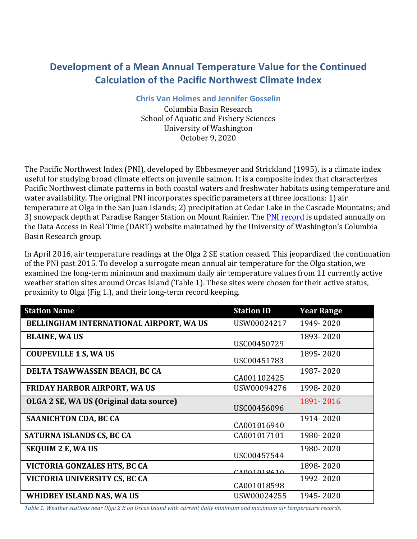## **Development of a Mean Annual Temperature Value for the Continued Calculation of the Pacific Northwest Climate Index**

**Chris Van Holmes and Jennifer Gosselin**

Columbia Basin Research School of Aquatic and Fishery Sciences University of Washington October 9, 2020

The Pacific Northwest Index (PNI), developed by Ebbesmeyer and Strickland (1995), is a climate index useful for studying broad climate effects on juvenile salmon. It is a composite index that characterizes Pacific Northwest climate patterns in both coastal waters and freshwater habitats using temperature and water availability. The original PNI incorporates specific parameters at three locations: 1) air temperature at Olga in the San Juan Islands; 2) precipitation at Cedar Lake in the Cascade Mountains; and 3) snowpack depth at Paradise Ranger Station on Mount Rainier. The PNI record is updated annually on the Data Access in Real Time (DART) website maintained by the University of Washington's Columbia Basin Research group.

In April 2016, air temperature readings at the Olga 2 SE station ceased. This jeopardized the continuation of the PNI past 2015. To develop a surrogate mean annual air temperature for the Olga station, we examined the long-term minimum and maximum daily air temperature values from 11 currently active weather station sites around Orcas Island (Table 1). These sites were chosen for their active status, proximity to Olga (Fig 1.), and their long-term record keeping.

| <b>Station Name</b>                     | <b>Station ID</b> | <b>Year Range</b> |
|-----------------------------------------|-------------------|-------------------|
| BELLINGHAM INTERNATIONAL AIRPORT, WA US | USW00024217       | 1949-2020         |
| <b>BLAINE, WA US</b>                    | USC00450729       | 1893-2020         |
| <b>COUPEVILLE 1 S, WA US</b>            | USC00451783       | 1895-2020         |
| DELTA TSAWWASSEN BEACH, BC CA           | CA001102425       | 1987-2020         |
| <b>FRIDAY HARBOR AIRPORT, WA US</b>     | USW00094276       | 1998-2020         |
| OLGA 2 SE, WA US (Original data source) | USC00456096       | 1891-2016         |
| <b>SAANICHTON CDA, BC CA</b>            | CA001016940       | 1914-2020         |
| SATURNA ISLANDS CS, BC CA               | CA001017101       | 1980-2020         |
| <b>SEQUIM 2 E, WA US</b>                | USC00457544       | 1980-2020         |
| VICTORIA GONZALES HTS, BC CA            | CA001010610       | 1898-2020         |
| VICTORIA UNIVERSITY CS, BC CA           | CA001018598       | 1992-2020         |
| WHIDBEY ISLAND NAS, WA US               | USW00024255       | 1945-2020         |

Table 1. Weather stations near Olga 2 E on Orcas Island with current daily minimum and maximum air temperature records.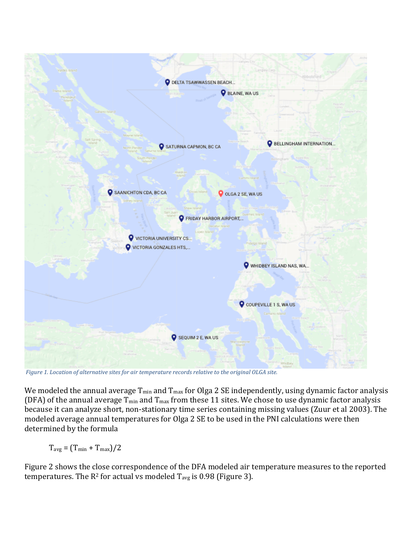

*Figure* 1. *Location of alternative sites for air temperature records relative to the original OLGA site.* 

We modeled the annual average  $T_{min}$  and  $T_{max}$  for Olga 2 SE independently, using dynamic factor analysis (DFA) of the annual average  $T_{min}$  and  $T_{max}$  from these 11 sites. We chose to use dynamic factor analysis because it can analyze short, non-stationary time series containing missing values (Zuur et al 2003). The modeled average annual temperatures for Olga 2 SE to be used in the PNI calculations were then determined by the formula

 $T_{avg} = (T_{min} + T_{max})/2$ 

Figure 2 shows the close correspondence of the DFA modeled air temperature measures to the reported temperatures. The  $R^2$  for actual vs modeled  $T_{avg}$  is 0.98 (Figure 3).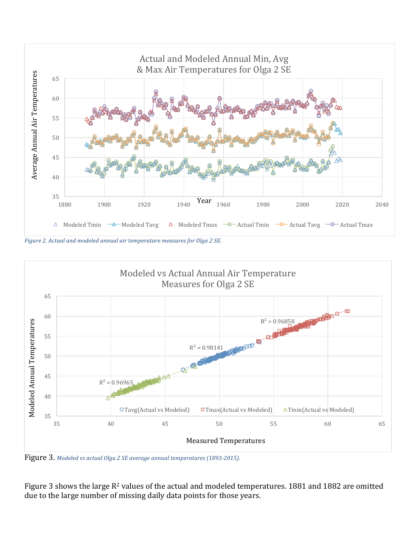

*Figure 2. Actual and modeled annual air temperature measures for Olga 2 SE.* 



Figure 3. Modeled vs actual Olga 2 SE average annual temperatures (1893-2015).

Figure 3 shows the large  $R^2$  values of the actual and modeled temperatures. 1881 and 1882 are omitted due to the large number of missing daily data points for those years.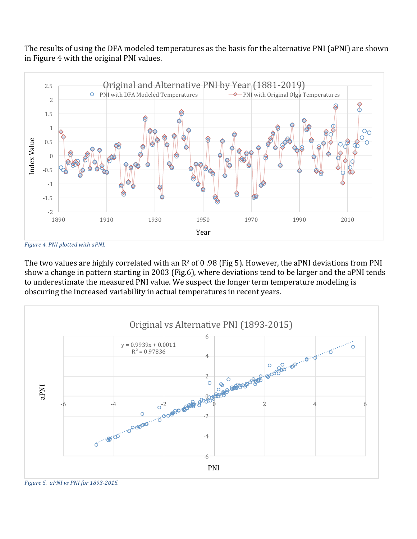The results of using the DFA modeled temperatures as the basis for the alternative PNI (aPNI) are shown in Figure 4 with the original PNI values.



Figure 4. PNI plotted with aPNI.

The two values are highly correlated with an  $R^2$  of 0.98 (Fig 5). However, the aPNI deviations from PNI show a change in pattern starting in 2003 (Fig.6), where deviations tend to be larger and the aPNI tends to underestimate the measured PNI value. We suspect the longer term temperature modeling is obscuring the increased variability in actual temperatures in recent years.